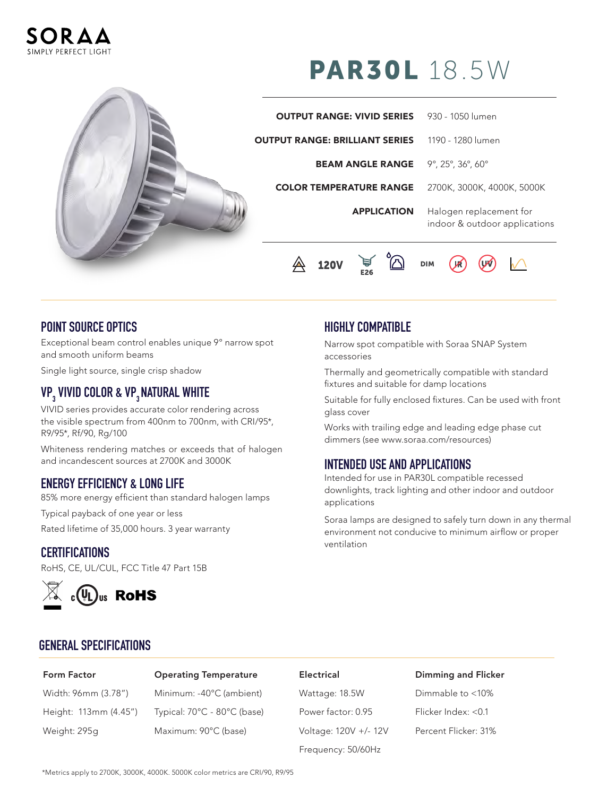



# PAR30L 18.5W

| <b>OUTPUT RANGE: VIVID SERIES</b>     | 930 - 1050 lumen                                         |
|---------------------------------------|----------------------------------------------------------|
| <b>OUTPUT RANGE: BRILLIANT SERIES</b> | 1190 - 1280 lumen                                        |
| <b>BEAM ANGLE RANGE</b>               | 9°, 25°, 36°, 60°                                        |
| <b>COLOR TEMPERATURE RANGE</b>        | 2700K, 3000K, 4000K, 5000K                               |
| <b>APPLICATION</b>                    | Halogen replacement for<br>indoor & outdoor applications |



### **POINT SOURCE OPTICS**

Exceptional beam control enables unique 9° narrow spot and smooth uniform beams

Single light source, single crisp shadow

# **VP3 VIVID COLOR & VP3 NATURAL WHITE**

VIVID series provides accurate color rendering across the visible spectrum from 400nm to 700nm, with CRI/95\*, R9/95\*, Rf/90, Rg/100

Whiteness rendering matches or exceeds that of halogen and incandescent sources at 2700K and 3000K

### **ENERGY EFFICIENCY & LONG LIFE**

85% more energy efficient than standard halogen lamps

Typical payback of one year or less

Rated lifetime of 35,000 hours. 3 year warranty

### **CERTIFICATIONS**

RoHS, CE, UL/CUL, FCC Title 47 Part 15B



## **HIGHLY COMPATIBLE**

Narrow spot compatible with Soraa SNAP System accessories

Thermally and geometrically compatible with standard fixtures and suitable for damp locations

Suitable for fully enclosed fixtures. Can be used with front glass cover

Works with trailing edge and leading edge phase cut dimmers (see www.soraa.com/resources)

### **INTENDED USE AND APPLICATIONS**

Intended for use in PAR30L compatible recessed downlights, track lighting and other indoor and outdoor applications

Soraa lamps are designed to safely turn down in any thermal environment not conducive to minimum airflow or proper ventilation

### **GENERAL SPECIFICATIONS**

### Form Factor Operating Temperature Electrical Dimming and Flicker

Width: 96mm (3.78") Minimum: -40°C (ambient) Wattage: 18.5W Dimmable to <10% Height: 113mm (4.45") Typical: 70°C - 80°C (base) Power factor: 0.95 Flicker Index: <0.1 Weight: 295g Maximum: 90°C (base) Voltage: 120V +/- 12V Percent Flicker: 31%

Frequency: 50/60Hz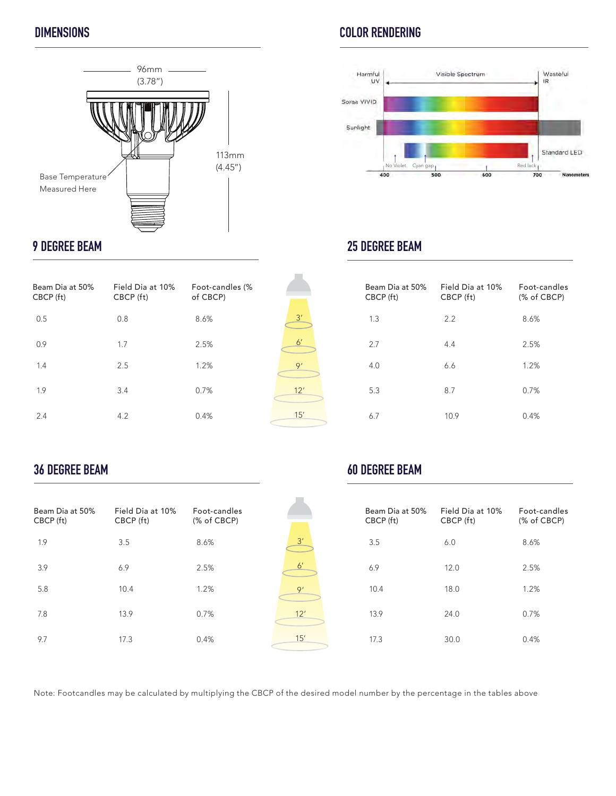

# **9 DEGREE BEAM**

| Beam Dia at 50%<br>CBCP (ft) | Field Dia at 10%<br>CBCP (ft) | Foot-candles (%<br>of CBCP) |
|------------------------------|-------------------------------|-----------------------------|
| 0.5                          | 0.8                           | 8.6%                        |
| 0.9                          | 1.7                           | 2.5%                        |
| 1.4                          | 2.5                           | 1.2%                        |
| 1.9                          | 3.4                           | 0.7%                        |
| 2.4                          | 4.2                           | 0.4%                        |

# $3'$ 6' 9' 12' 15'

 $\frac{3'}{2}$ 

6'

9'

12'

15'

# **DIMENSIONS COLOR RENDERING**



# **25 DEGREE BEAM**

| Beam Dia at 50%<br>CBCP (ft) | Field Dia at 10%<br>CBCP (ft) | Foot-candles<br>(% of CBCP) |
|------------------------------|-------------------------------|-----------------------------|
| 1.3                          | 2.2                           | 8.6%                        |
| 2.7                          | 4.4                           | 2.5%                        |
| 4.0                          | 6.6                           | 1.2%                        |
| 5.3                          | 8.7                           | 0.7%                        |
| 6.7                          | 10.9                          | 0.4%                        |

# **36 DEGREE BEAM**

| Beam Dia at 50%<br>CBCP (ft) | Field Dia at 10%<br>CBCP (ft) | Eoot-candles<br>(% of CBCP) |
|------------------------------|-------------------------------|-----------------------------|
| 1.9                          | 3.5                           | 8.6%                        |
| 3.9                          | 6.9                           | 2.5%                        |
| 5.8                          | 10.4                          | 1.2%                        |
| 7.8                          | 13.9                          | 0.7%                        |
| 9.7                          | 17.3                          | 0.4%                        |

# **60 DEGREE BEAM**

| Beam Dia at 50%<br>CBCP (ft) | Field Dia at 10%<br>CBCP (ft) | Foot-candles<br>(% of CBCP) |
|------------------------------|-------------------------------|-----------------------------|
| 3.5                          | 6.0                           | 8.6%                        |
| 6.9                          | 12.0                          | 2.5%                        |
| 10.4                         | 18.0                          | 1.2%                        |
| 13.9                         | 24.0                          | 0.7%                        |
| 17.3                         | 30.0                          | 0.4%                        |

Note: Footcandles may be calculated by multiplying the CBCP of the desired model number by the percentage in the tables above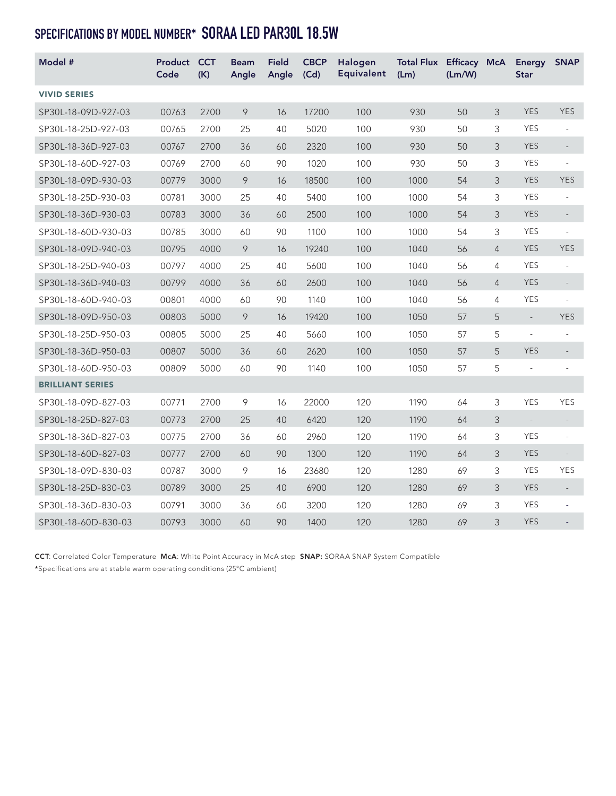# **SPECIFICATIONS BY MODEL NUMBER\* SORAA LED PAR30L 18.5W**

| Model #                 | Product<br>Code | <b>CCT</b><br>(K) | <b>Beam</b><br>Angle | <b>Field</b><br>Angle | <b>CBCP</b><br>(Cd) | Halogen<br><b>Equivalent</b> | Total Flux Efficacy McA<br>(Lm) | (Lm/W) |                | <b>Energy</b><br><b>Star</b> | <b>SNAP</b>              |
|-------------------------|-----------------|-------------------|----------------------|-----------------------|---------------------|------------------------------|---------------------------------|--------|----------------|------------------------------|--------------------------|
| <b>VIVID SERIES</b>     |                 |                   |                      |                       |                     |                              |                                 |        |                |                              |                          |
| SP30L-18-09D-927-03     | 00763           | 2700              | 9                    | 16                    | 17200               | 100                          | 930                             | 50     | 3              | <b>YES</b>                   | <b>YES</b>               |
| SP30L-18-25D-927-03     | 00765           | 2700              | 25                   | 40                    | 5020                | 100                          | 930                             | 50     | 3              | <b>YES</b>                   | $\overline{\phantom{a}}$ |
| SP30L-18-36D-927-03     | 00767           | 2700              | 36                   | 60                    | 2320                | 100                          | 930                             | 50     | 3              | <b>YES</b>                   | $\overline{\phantom{m}}$ |
| SP30L-18-60D-927-03     | 00769           | 2700              | 60                   | 90                    | 1020                | 100                          | 930                             | 50     | 3              | <b>YES</b>                   | $\overline{\phantom{a}}$ |
| SP30L-18-09D-930-03     | 00779           | 3000              | 9                    | 16                    | 18500               | 100                          | 1000                            | 54     | 3              | <b>YES</b>                   | <b>YES</b>               |
| SP30L-18-25D-930-03     | 00781           | 3000              | 25                   | 40                    | 5400                | 100                          | 1000                            | 54     | 3              | <b>YES</b>                   | $\overline{\phantom{a}}$ |
| SP30L-18-36D-930-03     | 00783           | 3000              | 36                   | 60                    | 2500                | 100                          | 1000                            | 54     | 3              | <b>YES</b>                   | $\overline{\phantom{a}}$ |
| SP30L-18-60D-930-03     | 00785           | 3000              | 60                   | 90                    | 1100                | 100                          | 1000                            | 54     | 3              | <b>YES</b>                   | ÷,                       |
| SP30L-18-09D-940-03     | 00795           | 4000              | 9                    | 16                    | 19240               | 100                          | 1040                            | 56     | $\overline{4}$ | <b>YES</b>                   | <b>YES</b>               |
| SP30L-18-25D-940-03     | 00797           | 4000              | 25                   | 40                    | 5600                | 100                          | 1040                            | 56     | 4              | <b>YES</b>                   | $\overline{\phantom{a}}$ |
| SP30L-18-36D-940-03     | 00799           | 4000              | 36                   | 60                    | 2600                | 100                          | 1040                            | 56     | $\overline{4}$ | <b>YES</b>                   | $\overline{\phantom{a}}$ |
| SP30L-18-60D-940-03     | 00801           | 4000              | 60                   | 90                    | 1140                | 100                          | 1040                            | 56     | 4              | <b>YES</b>                   | $\bar{\phantom{a}}$      |
| SP30L-18-09D-950-03     | 00803           | 5000              | 9                    | 16                    | 19420               | 100                          | 1050                            | 57     | 5              | $\sim$                       | <b>YES</b>               |
| SP30L-18-25D-950-03     | 00805           | 5000              | 25                   | 40                    | 5660                | 100                          | 1050                            | 57     | 5              | $\overline{\phantom{a}}$     | ÷,                       |
| SP30L-18-36D-950-03     | 00807           | 5000              | 36                   | 60                    | 2620                | 100                          | 1050                            | 57     | 5              | <b>YES</b>                   | $\overline{\phantom{a}}$ |
| SP30L-18-60D-950-03     | 00809           | 5000              | 60                   | 90                    | 1140                | 100                          | 1050                            | 57     | 5              | $\overline{\phantom{a}}$     | $\overline{\phantom{a}}$ |
| <b>BRILLIANT SERIES</b> |                 |                   |                      |                       |                     |                              |                                 |        |                |                              |                          |
| SP30L-18-09D-827-03     | 00771           | 2700              | $\circ$              | 16                    | 22000               | 120                          | 1190                            | 64     | 3              | <b>YES</b>                   | <b>YES</b>               |
| SP30L-18-25D-827-03     | 00773           | 2700              | 25                   | 40                    | 6420                | 120                          | 1190                            | 64     | 3              | $\sim$                       | $\overline{\phantom{m}}$ |
| SP30L-18-36D-827-03     | 00775           | 2700              | 36                   | 60                    | 2960                | 120                          | 1190                            | 64     | 3              | <b>YES</b>                   | $\overline{\phantom{a}}$ |
| SP30L-18-60D-827-03     | 00777           | 2700              | 60                   | 90                    | 1300                | 120                          | 1190                            | 64     | 3              | <b>YES</b>                   | $\overline{\phantom{0}}$ |
| SP30L-18-09D-830-03     | 00787           | 3000              | 9                    | 16                    | 23680               | 120                          | 1280                            | 69     | 3              | <b>YES</b>                   | <b>YES</b>               |
| SP30L-18-25D-830-03     | 00789           | 3000              | 25                   | 40                    | 6900                | 120                          | 1280                            | 69     | 3              | <b>YES</b>                   | $\overline{\phantom{a}}$ |
| SP30L-18-36D-830-03     | 00791           | 3000              | 36                   | 60                    | 3200                | 120                          | 1280                            | 69     | 3              | <b>YES</b>                   | $\bar{\phantom{a}}$      |
| SP30L-18-60D-830-03     | 00793           | 3000              | 60                   | 90                    | 1400                | 120                          | 1280                            | 69     | 3              | <b>YES</b>                   |                          |

CCT: Correlated Color Temperature McA: White Point Accuracy in McA step SNAP: SORAA SNAP System Compatible \*Specifications are at stable warm operating conditions (25°C ambient)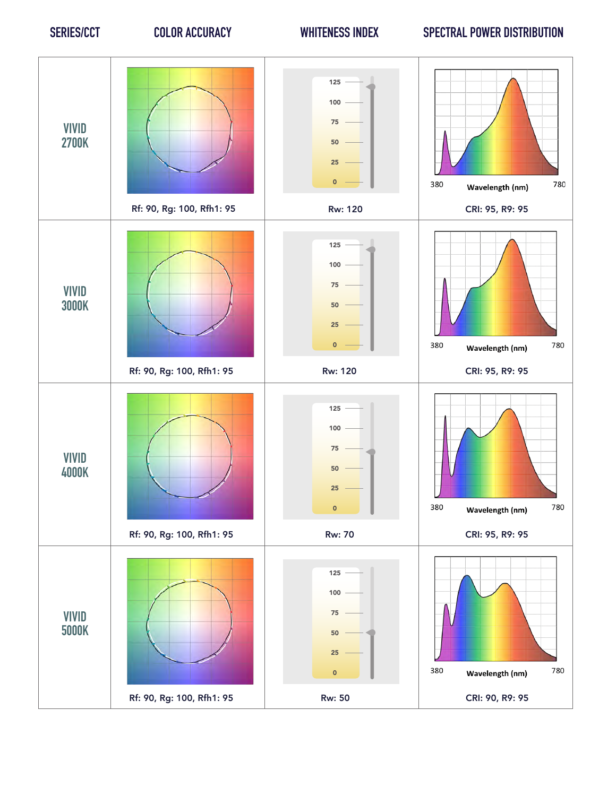## **SERIES/CCT COLOR ACCURACY WHITENESS INDEX SPECTRAL POWER DISTRIBUTION**